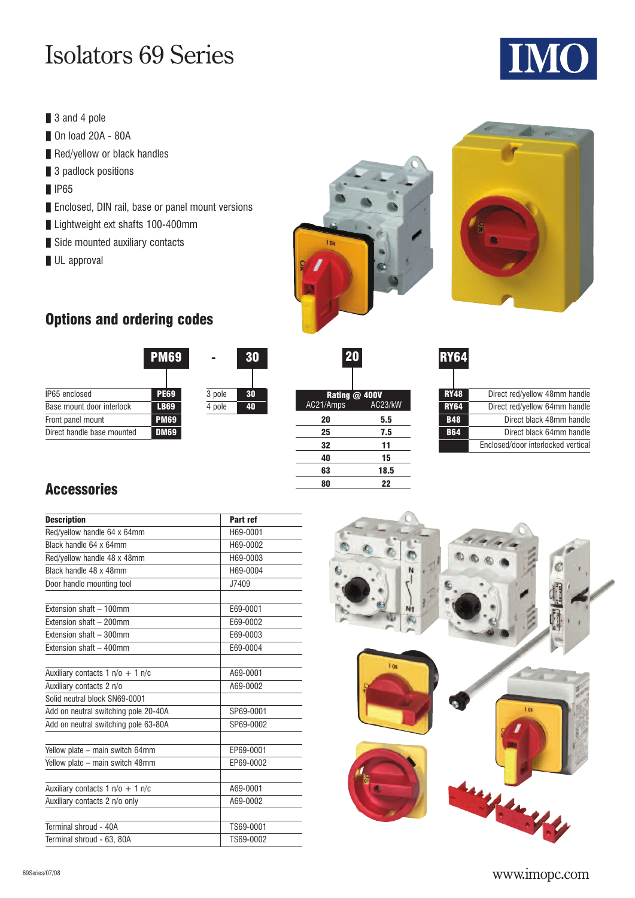# Isolators 69 Series

- **❚** 3 and 4 pole
- **❚** On load 20A 80A
- **■** Red/yellow or black handles
- 3 padlock positions
- **❚** IP65
- Enclosed, DIN rail, base or panel mount versions
- Lightweight ext shafts 100-400mm
- Side mounted auxiliary contacts
- **❚** UL approval





## **Options and ordering codes**



| 20        |                          |
|-----------|--------------------------|
| AC21/Amps | Rating @ 400V<br>AC23/kW |
| 20        | 5.5                      |
| 25        | 7.5                      |
| 32        | 11                       |
| 40        | 15                       |
| 63        | 18.5                     |
| 80        | 22                       |

| <b>RY64</b> |                                    |
|-------------|------------------------------------|
| <b>RY48</b> | Direct red/yellow 48mm handle      |
| <b>RY64</b> | Direct red/yellow 64mm handle      |
| <b>B48</b>  | Direct black 48mm handle           |
| <b>B64</b>  | Direct black 64mm handle           |
|             | Enclosed/door interlocked vertical |
|             |                                    |

#### **Accessories**

|                                      | Part ref  |
|--------------------------------------|-----------|
| <b>Description</b>                   |           |
| Red/yellow handle 64 x 64mm          | H69-0001  |
| Black handle 64 x 64mm               | H69-0002  |
| Red/yellow handle 48 x 48mm          | H69-0003  |
| Black handle 48 x 48mm               | H69-0004  |
| Door handle mounting tool            | J7409     |
| Extension shaft - 100mm              | E69-0001  |
| Extension shaft - 200mm              | E69-0002  |
| Extension shaft - 300mm              | E69-0003  |
| Extension shaft - 400mm              | E69-0004  |
| Auxiliary contacts 1 $n/o + 1 n/c$   | A69-0001  |
| Auxiliary contacts 2 n/o             | A69-0002  |
| Solid neutral block SN69-0001        |           |
| Add on neutral switching pole 20-40A | SP69-0001 |
| Add on neutral switching pole 63-80A | SP69-0002 |
| Yellow plate - main switch 64mm      | EP69-0001 |
| Yellow plate - main switch 48mm      | EP69-0002 |
| Auxiliary contacts $1 n/o + 1 n/c$   | A69-0001  |
| Auxiliary contacts 2 n/o only        | A69-0002  |
| Terminal shroud - 40A                | TS69-0001 |
| Terminal shroud - 63, 80A            | TS69-0002 |



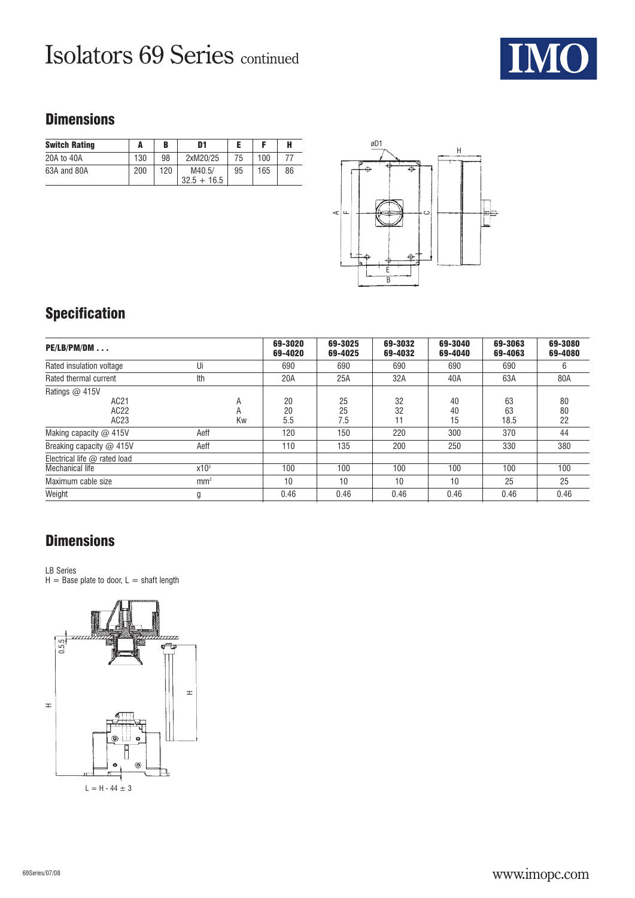# Isolators 69 Series continued



### **Dimensions**

| <b>Switch Rating</b> |     | в   | D1                      |    |     |    |  |
|----------------------|-----|-----|-------------------------|----|-----|----|--|
| 20A to 40A           | 130 | 98  | 2xM20/25                | 75 | 100 |    |  |
| 63A and 80A          | 200 | 120 | M40.5/<br>$32.5 + 16.5$ | 95 | 165 | 86 |  |



## **Specification**

| $PE/LB/PM/DM$                                     |                  |    | 69-3020<br>69-4020 | 69-3025<br>69-4025 | 69-3032<br>69-4032 | 69-3040<br>69-4040 | 69-3063<br>69-4063 | 69-3080<br>69-4080 |
|---------------------------------------------------|------------------|----|--------------------|--------------------|--------------------|--------------------|--------------------|--------------------|
| Rated insulation voltage                          | Ui               |    | 690                | 690                | 690                | 690                | 690                | 6                  |
| Rated thermal current                             | Ith              |    | 20A                | 25A                | 32A                | 40A                | 63A                | 80A                |
| Ratings $\omega$ 415V<br>AC21<br>AC22<br>AC23     | A<br>A           | Kw | 20<br>20<br>5.5    | 25<br>25<br>7.5    | 32<br>32<br>11     | 40<br>40<br>15     | 63<br>63<br>18.5   | 80<br>80<br>22     |
| Making capacity $@$ 415V                          | Aeff             |    | 120                | 150                | 220                | 300                | 370                | 44                 |
| Breaking capacity @ 415V                          | Aeff             |    | 110                | 135                | 200                | 250                | 330                | 380                |
| Electrical life $@$ rated load<br>Mechanical life | x10 <sup>3</sup> |    | 100                | 100                | 100                | 100                | 100                | 100                |
| Maximum cable size                                | mm <sup>2</sup>  |    | 10                 | 10                 | 10                 | 10                 | 25                 | 25                 |
| Weight                                            | g                |    | 0.46               | 0.46               | 0.46               | 0.46               | 0.46               | 0.46               |

## **Dimensions**

#### LB Series

 $H =$  Base plate to door,  $L =$  shaft length